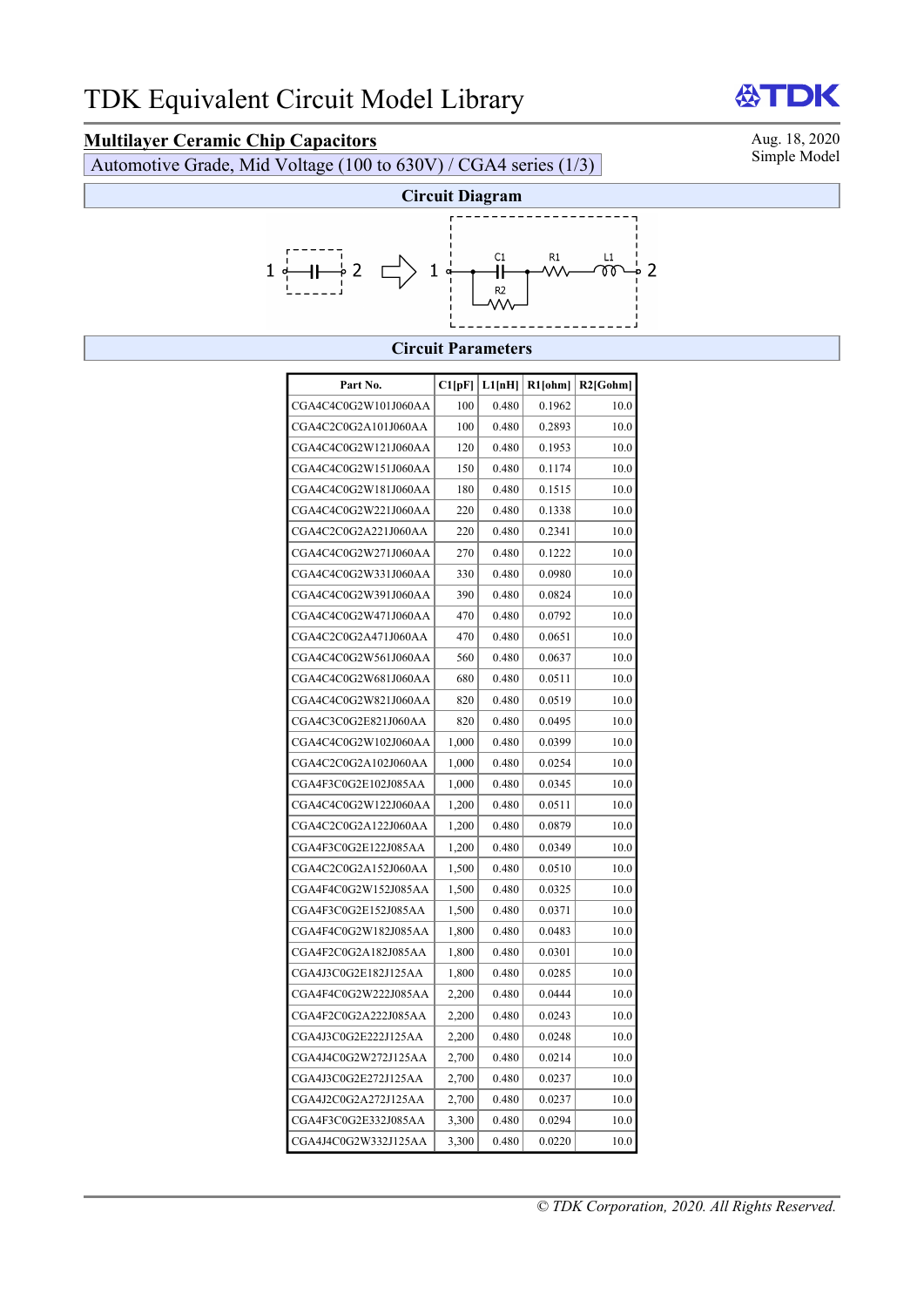# **Multilayer Ceramic Chip Capacitors**<br>Automotive Grade Mid Voltage (100 to 630V) / CGA4 series (1/3) Simple Model

Automotive Grade, Mid Voltage (100 to  $630V$ ) / CGA4 series (1/3)



#### **Circuit Parameters**

| Part No.             | Cl[pF] | L1[nH] | $R1$ [ohm] | R2[Gohm] |
|----------------------|--------|--------|------------|----------|
| CGA4C4C0G2W101J060AA | 100    | 0.480  | 0.1962     | 10.0     |
| CGA4C2C0G2A101J060AA | 100    | 0.480  | 0.2893     | 10.0     |
| CGA4C4C0G2W121J060AA | 120    | 0.480  | 0.1953     | 10.0     |
| CGA4C4C0G2W151J060AA | 150    | 0.480  | 0.1174     | 10.0     |
| CGA4C4C0G2W181J060AA | 180    | 0.480  | 0.1515     | 10.0     |
| CGA4C4C0G2W221J060AA | 220    | 0.480  | 0.1338     | 10.0     |
| CGA4C2C0G2A221J060AA | 220    | 0.480  | 0.2341     | 10.0     |
| CGA4C4C0G2W271J060AA | 270    | 0.480  | 0.1222     | 10.0     |
| CGA4C4C0G2W331J060AA | 330    | 0.480  | 0.0980     | 10.0     |
| CGA4C4C0G2W391J060AA | 390    | 0.480  | 0.0824     | 10.0     |
| CGA4C4C0G2W471J060AA | 470    | 0.480  | 0.0792     | 10.0     |
| CGA4C2C0G2A471J060AA | 470    | 0.480  | 0.0651     | 10.0     |
| CGA4C4C0G2W561J060AA | 560    | 0.480  | 0.0637     | 10.0     |
| CGA4C4C0G2W681J060AA | 680    | 0.480  | 0.0511     | 10.0     |
| CGA4C4C0G2W821J060AA | 820    | 0.480  | 0.0519     | 10.0     |
| CGA4C3C0G2E821J060AA | 820    | 0.480  | 0.0495     | 10.0     |
| CGA4C4C0G2W102J060AA | 1,000  | 0.480  | 0.0399     | 10.0     |
| CGA4C2C0G2A102J060AA | 1,000  | 0.480  | 0.0254     | 10.0     |
| CGA4F3C0G2E102J085AA | 1,000  | 0.480  | 0.0345     | 10.0     |
| CGA4C4C0G2W122J060AA | 1,200  | 0.480  | 0.0511     | 10.0     |
| CGA4C2C0G2A122J060AA | 1,200  | 0.480  | 0.0879     | 10.0     |
| CGA4F3C0G2E122J085AA | 1,200  | 0.480  | 0.0349     | 10.0     |
| CGA4C2C0G2A152J060AA | 1,500  | 0.480  | 0.0510     | 10.0     |
| CGA4F4C0G2W152J085AA | 1,500  | 0.480  | 0.0325     | 10.0     |
| CGA4F3C0G2E152J085AA | 1,500  | 0.480  | 0.0371     | 10.0     |
| CGA4F4C0G2W182J085AA | 1,800  | 0.480  | 0.0483     | 10.0     |
| CGA4F2C0G2A182J085AA | 1,800  | 0.480  | 0.0301     | 10.0     |
| CGA4J3C0G2E182J125AA | 1,800  | 0.480  | 0.0285     | 10.0     |
| CGA4F4C0G2W222J085AA | 2,200  | 0.480  | 0.0444     | 10.0     |
| CGA4F2C0G2A222J085AA | 2,200  | 0.480  | 0.0243     | 10.0     |
| CGA4J3C0G2E222J125AA | 2,200  | 0.480  | 0.0248     | 10.0     |
| CGA4J4C0G2W272J125AA | 2,700  | 0.480  | 0.0214     | 10.0     |
| CGA4J3C0G2E272J125AA | 2,700  | 0.480  | 0.0237     | 10.0     |
| CGA4J2C0G2A272J125AA | 2,700  | 0.480  | 0.0237     | 10.0     |
| CGA4F3C0G2E332J085AA | 3,300  | 0.480  | 0.0294     | 10.0     |
| CGA4J4C0G2W332J125AA | 3,300  | 0.480  | 0.0220     | 10.0     |

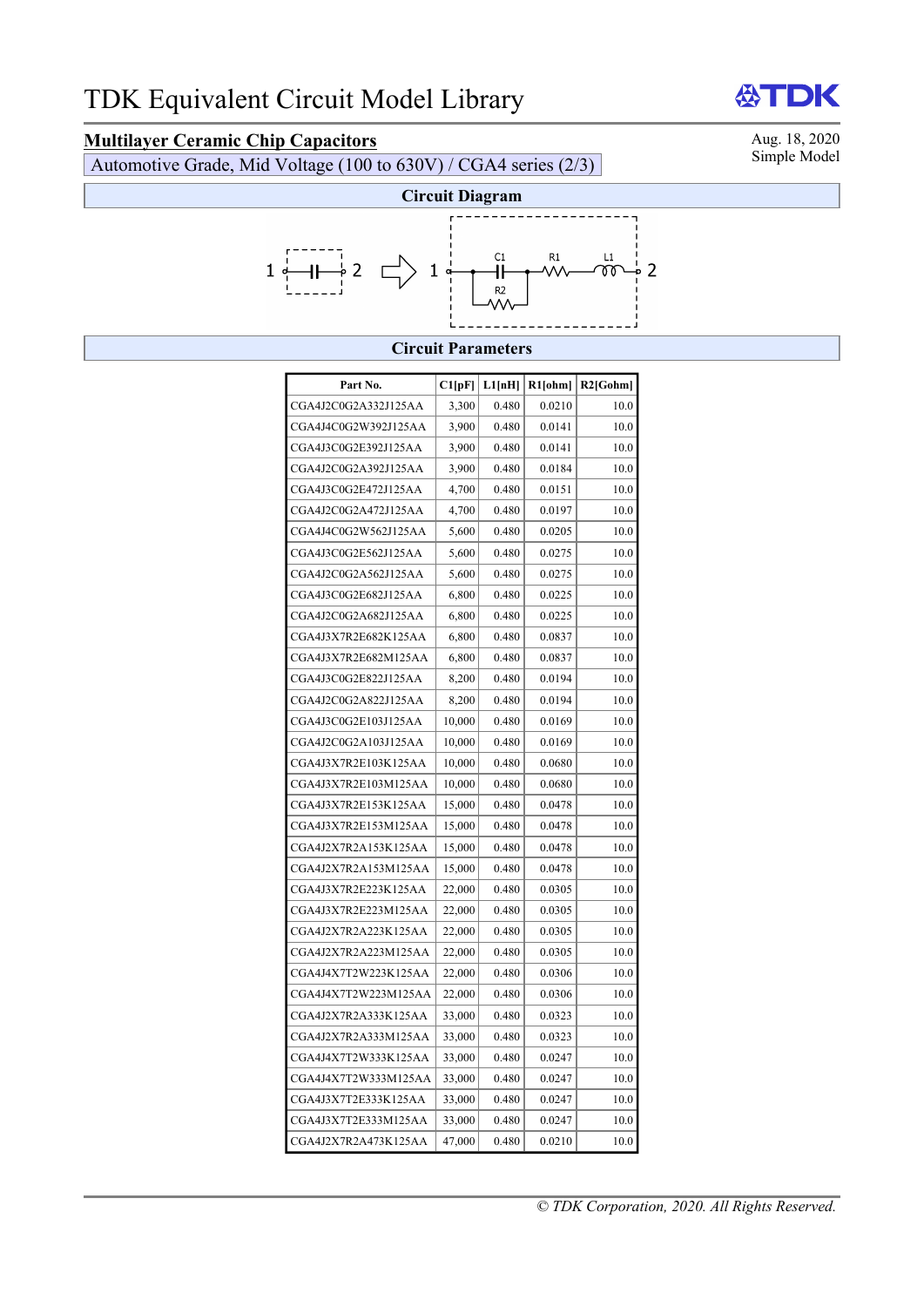## **Multilayer Ceramic Chip Capacitors**<br>Automotive Grade Mid Voltage (100 to 630V) / CGA4 series (2/3) Simple Model

Automotive Grade, Mid Voltage (100 to  $630V$ ) / CGA4 series (2/3)



### **Circuit Parameters**

| Part No.             | Cl[pF] | L1[nH] | R1[ohm] | $R2$ [Gohm] |
|----------------------|--------|--------|---------|-------------|
| CGA4J2C0G2A332J125AA | 3,300  | 0.480  | 0.0210  | 10.0        |
| CGA4J4C0G2W392J125AA | 3,900  | 0.480  | 0.0141  | 10.0        |
| CGA4J3C0G2E392J125AA | 3,900  | 0.480  | 0.0141  | 10.0        |
| CGA4J2C0G2A392J125AA | 3,900  | 0.480  | 0.0184  | 10.0        |
| CGA4J3C0G2E472J125AA | 4,700  | 0.480  | 0.0151  | 10.0        |
| CGA4J2C0G2A472J125AA | 4,700  | 0.480  | 0.0197  | 10.0        |
| CGA4J4C0G2W562J125AA | 5,600  | 0.480  | 0.0205  | 10.0        |
| CGA4J3C0G2E562J125AA | 5,600  | 0.480  | 0.0275  | 10.0        |
| CGA4J2C0G2A562J125AA | 5,600  | 0.480  | 0.0275  | 10.0        |
| CGA4J3C0G2E682J125AA | 6,800  | 0.480  | 0.0225  | 10.0        |
| CGA4J2C0G2A682J125AA | 6,800  | 0.480  | 0.0225  | 10.0        |
|                      |        |        |         |             |
| CGA4J3X7R2E682K125AA | 6,800  | 0.480  | 0.0837  | 10.0        |
| CGA4J3X7R2E682M125AA | 6,800  | 0.480  | 0.0837  | 10.0        |
| CGA4J3C0G2E822J125AA | 8,200  | 0.480  | 0.0194  | 10.0        |
| CGA4J2C0G2A822J125AA | 8,200  | 0.480  | 0.0194  | 10.0        |
| CGA4J3C0G2E103J125AA | 10,000 | 0.480  | 0.0169  | 10.0        |
| CGA4J2C0G2A103J125AA | 10,000 | 0.480  | 0.0169  | 10.0        |
| CGA4J3X7R2E103K125AA | 10,000 | 0.480  | 0.0680  | 10.0        |
| CGA4J3X7R2E103M125AA | 10,000 | 0.480  | 0.0680  | 10.0        |
| CGA4J3X7R2E153K125AA | 15,000 | 0.480  | 0.0478  | 10.0        |
| CGA4J3X7R2E153M125AA | 15,000 | 0.480  | 0.0478  | 10.0        |
| CGA4J2X7R2A153K125AA | 15,000 | 0.480  | 0.0478  | 10.0        |
| CGA4J2X7R2A153M125AA | 15,000 | 0.480  | 0.0478  | 10.0        |
| CGA4J3X7R2E223K125AA | 22,000 | 0.480  | 0.0305  | 10.0        |
| CGA4J3X7R2E223M125AA | 22,000 | 0.480  | 0.0305  | 10.0        |
| CGA4J2X7R2A223K125AA | 22,000 | 0.480  | 0.0305  | 10.0        |
| CGA4J2X7R2A223M125AA | 22,000 | 0.480  | 0.0305  | 10.0        |
| CGA4J4X7T2W223K125AA | 22,000 | 0.480  | 0.0306  | 10.0        |
| CGA4J4X7T2W223M125AA | 22,000 | 0.480  | 0.0306  | 10.0        |
| CGA4J2X7R2A333K125AA | 33,000 | 0.480  | 0.0323  | 10.0        |
| CGA4J2X7R2A333M125AA | 33,000 | 0.480  | 0.0323  | 10.0        |
| CGA4J4X7T2W333K125AA | 33,000 | 0.480  | 0.0247  | 10.0        |
| CGA4J4X7T2W333M125AA | 33,000 | 0.480  | 0.0247  | 10.0        |
| CGA4J3X7T2E333K125AA | 33,000 | 0.480  | 0.0247  | 10.0        |
| CGA4J3X7T2E333M125AA | 33,000 | 0.480  | 0.0247  | 10.0        |
| CGA4J2X7R2A473K125AA | 47,000 | 0.480  | 0.0210  | 10.0        |



*© TDK Corporation, 2020. All Rights Reserved.*